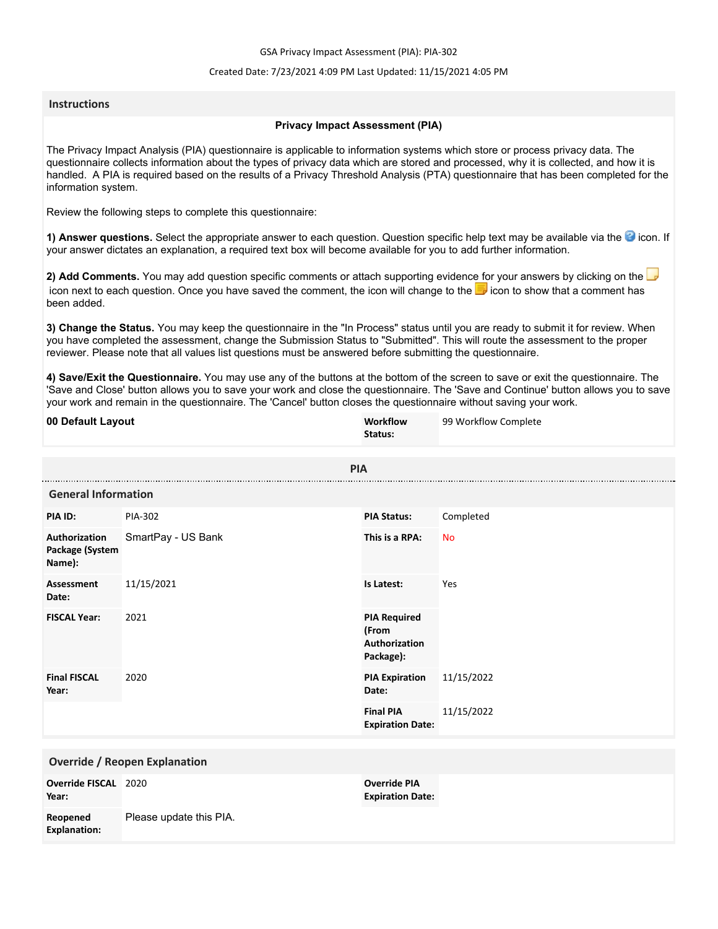GSA Privacy Impact Assessment (PIA): PIA-302

## Created Date: 7/23/2021 4:09 PM Last Updated: 11/15/2021 4:05 PM

## **Instructions**

## **Privacy Impact Assessment (PIA)**

The Privacy Impact Analysis (PIA) questionnaire is applicable to information systems which store or process privacy data. The questionnaire collects information about the types of privacy data which are stored and processed, why it is collected, and how it is handled. A PIA is required based on the results of a Privacy Threshold Analysis (PTA) questionnaire that has been completed for the information system.

Review the following steps to complete this questionnaire:

1) Answer questions. Select the appropriate answer to each question. Question specific help text may be available via the <sup>3</sup> icon. If your answer dictates an explanation, a required text box will become available for you to add further information.

**2) Add Comments.** You may add question specific comments or attach supporting evidence for your answers by clicking on the icon next to each question. Once you have saved the comment, the icon will change to the **i** icon to show that a comment has been added.

**3) Change the Status.** You may keep the questionnaire in the "In Process" status until you are ready to submit it for review. When you have completed the assessment, change the Submission Status to "Submitted". This will route the assessment to the proper reviewer. Please note that all values list questions must be answered before submitting the questionnaire.

**4) Save/Exit the Questionnaire.** You may use any of the buttons at the bottom of the screen to save or exit the questionnaire. The 'Save and Close' button allows you to save your work and close the questionnaire. The 'Save and Continue' button allows you to save your work and remain in the questionnaire. The 'Cancel' button closes the questionnaire without saving your work.

| 00 Default Layout                          |                         | Workflow<br>Status:                                        | 99 Workflow Complete |  |
|--------------------------------------------|-------------------------|------------------------------------------------------------|----------------------|--|
|                                            | <b>PIA</b>              |                                                            |                      |  |
| <b>General Information</b>                 |                         |                                                            |                      |  |
| PIA ID:                                    | PIA-302                 | <b>PIA Status:</b>                                         | Completed            |  |
| Authorization<br>Package (System<br>Name): | SmartPay - US Bank      | This is a RPA:                                             | <b>No</b>            |  |
| <b>Assessment</b><br>Date:                 | 11/15/2021              | Is Latest:                                                 | Yes                  |  |
| <b>FISCAL Year:</b>                        | 2021                    | <b>PIA Required</b><br>(From<br>Authorization<br>Package): |                      |  |
| <b>Final FISCAL</b><br>Year:               | 2020                    | <b>PIA Expiration</b><br>Date:                             | 11/15/2022           |  |
|                                            |                         | <b>Final PIA</b><br><b>Expiration Date:</b>                | 11/15/2022           |  |
| <b>Override / Reopen Explanation</b>       |                         |                                                            |                      |  |
| Override FISCAL 2020<br>Year:              |                         | <b>Override PIA</b><br><b>Expiration Date:</b>             |                      |  |
| Reopened<br><b>Explanation:</b>            | Please update this PIA. |                                                            |                      |  |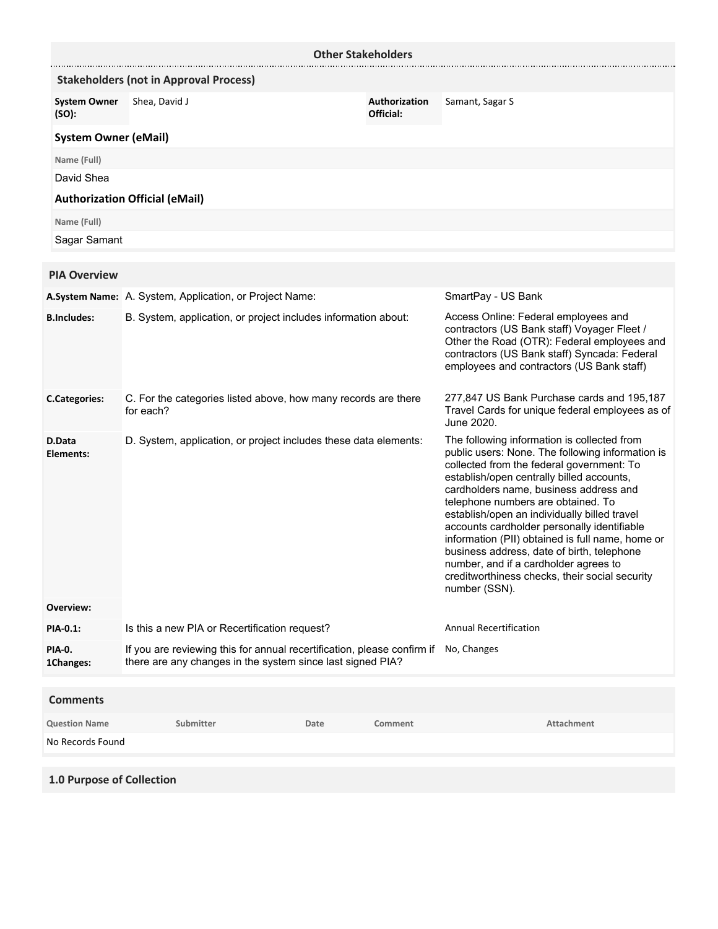| <b>Other Stakeholders</b>    |                                                                                                                                       |      |                                                                                                                                                                                                                                                                                                                                                                                                                                                                                                                                                                                        |                                                                                                                                                                                                                                 |
|------------------------------|---------------------------------------------------------------------------------------------------------------------------------------|------|----------------------------------------------------------------------------------------------------------------------------------------------------------------------------------------------------------------------------------------------------------------------------------------------------------------------------------------------------------------------------------------------------------------------------------------------------------------------------------------------------------------------------------------------------------------------------------------|---------------------------------------------------------------------------------------------------------------------------------------------------------------------------------------------------------------------------------|
|                              | <b>Stakeholders (not in Approval Process)</b>                                                                                         |      |                                                                                                                                                                                                                                                                                                                                                                                                                                                                                                                                                                                        |                                                                                                                                                                                                                                 |
| <b>System Owner</b><br>(SO): | Shea, David J                                                                                                                         |      | Authorization<br>Official:                                                                                                                                                                                                                                                                                                                                                                                                                                                                                                                                                             | Samant, Sagar S                                                                                                                                                                                                                 |
| <b>System Owner (eMail)</b>  |                                                                                                                                       |      |                                                                                                                                                                                                                                                                                                                                                                                                                                                                                                                                                                                        |                                                                                                                                                                                                                                 |
| Name (Full)                  |                                                                                                                                       |      |                                                                                                                                                                                                                                                                                                                                                                                                                                                                                                                                                                                        |                                                                                                                                                                                                                                 |
| David Shea                   |                                                                                                                                       |      |                                                                                                                                                                                                                                                                                                                                                                                                                                                                                                                                                                                        |                                                                                                                                                                                                                                 |
|                              | <b>Authorization Official (eMail)</b>                                                                                                 |      |                                                                                                                                                                                                                                                                                                                                                                                                                                                                                                                                                                                        |                                                                                                                                                                                                                                 |
| Name (Full)                  |                                                                                                                                       |      |                                                                                                                                                                                                                                                                                                                                                                                                                                                                                                                                                                                        |                                                                                                                                                                                                                                 |
| Sagar Samant                 |                                                                                                                                       |      |                                                                                                                                                                                                                                                                                                                                                                                                                                                                                                                                                                                        |                                                                                                                                                                                                                                 |
| <b>PIA Overview</b>          |                                                                                                                                       |      |                                                                                                                                                                                                                                                                                                                                                                                                                                                                                                                                                                                        |                                                                                                                                                                                                                                 |
|                              | A.System Name: A. System, Application, or Project Name:                                                                               |      |                                                                                                                                                                                                                                                                                                                                                                                                                                                                                                                                                                                        | SmartPay - US Bank                                                                                                                                                                                                              |
| <b>B.Includes:</b>           | B. System, application, or project includes information about:                                                                        |      |                                                                                                                                                                                                                                                                                                                                                                                                                                                                                                                                                                                        | Access Online: Federal employees and<br>contractors (US Bank staff) Voyager Fleet /<br>Other the Road (OTR): Federal employees and<br>contractors (US Bank staff) Syncada: Federal<br>employees and contractors (US Bank staff) |
| <b>C.Categories:</b>         | C. For the categories listed above, how many records are there<br>for each?                                                           |      |                                                                                                                                                                                                                                                                                                                                                                                                                                                                                                                                                                                        | 277,847 US Bank Purchase cards and 195,187<br>Travel Cards for unique federal employees as of<br>June 2020.                                                                                                                     |
| D.Data<br>Elements:          | D. System, application, or project includes these data elements:                                                                      |      | The following information is collected from<br>public users: None. The following information is<br>collected from the federal government: To<br>establish/open centrally billed accounts,<br>cardholders name, business address and<br>telephone numbers are obtained. To<br>establish/open an individually billed travel<br>accounts cardholder personally identifiable<br>information (PII) obtained is full name, home or<br>business address, date of birth, telephone<br>number, and if a cardholder agrees to<br>creditworthiness checks, their social security<br>number (SSN). |                                                                                                                                                                                                                                 |
| Overview:                    |                                                                                                                                       |      |                                                                                                                                                                                                                                                                                                                                                                                                                                                                                                                                                                                        |                                                                                                                                                                                                                                 |
| PIA-0.1:                     | Is this a new PIA or Recertification request?                                                                                         |      |                                                                                                                                                                                                                                                                                                                                                                                                                                                                                                                                                                                        | <b>Annual Recertification</b>                                                                                                                                                                                                   |
| PIA-0.<br>1Changes:          | If you are reviewing this for annual recertification, please confirm if<br>there are any changes in the system since last signed PIA? |      |                                                                                                                                                                                                                                                                                                                                                                                                                                                                                                                                                                                        | No, Changes                                                                                                                                                                                                                     |
| <b>Comments</b>              |                                                                                                                                       |      |                                                                                                                                                                                                                                                                                                                                                                                                                                                                                                                                                                                        |                                                                                                                                                                                                                                 |
| <b>Question Name</b>         | Submitter                                                                                                                             | Date | Comment                                                                                                                                                                                                                                                                                                                                                                                                                                                                                                                                                                                | Attachment                                                                                                                                                                                                                      |
| No Records Found             |                                                                                                                                       |      |                                                                                                                                                                                                                                                                                                                                                                                                                                                                                                                                                                                        |                                                                                                                                                                                                                                 |
|                              |                                                                                                                                       |      |                                                                                                                                                                                                                                                                                                                                                                                                                                                                                                                                                                                        |                                                                                                                                                                                                                                 |
| 1.0 Purpose of Collection    |                                                                                                                                       |      |                                                                                                                                                                                                                                                                                                                                                                                                                                                                                                                                                                                        |                                                                                                                                                                                                                                 |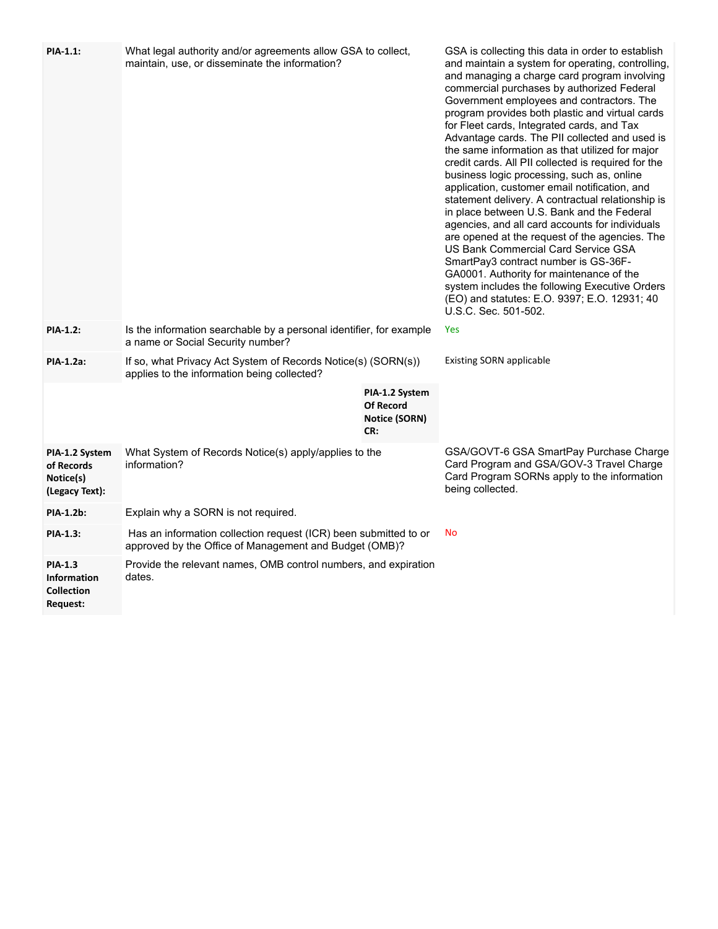| PIA-1.1:                                                              | What legal authority and/or agreements allow GSA to collect,<br>maintain, use, or disseminate the information?             |                                                            | GSA is collecting this data in order to establish<br>and maintain a system for operating, controlling,<br>and managing a charge card program involving<br>commercial purchases by authorized Federal<br>Government employees and contractors. The<br>program provides both plastic and virtual cards<br>for Fleet cards, Integrated cards, and Tax<br>Advantage cards. The PII collected and used is<br>the same information as that utilized for major<br>credit cards. All PII collected is required for the<br>business logic processing, such as, online<br>application, customer email notification, and<br>statement delivery. A contractual relationship is<br>in place between U.S. Bank and the Federal<br>agencies, and all card accounts for individuals<br>are opened at the request of the agencies. The<br>US Bank Commercial Card Service GSA<br>SmartPay3 contract number is GS-36F-<br>GA0001. Authority for maintenance of the<br>system includes the following Executive Orders<br>(EO) and statutes: E.O. 9397; E.O. 12931; 40<br>U.S.C. Sec. 501-502. |
|-----------------------------------------------------------------------|----------------------------------------------------------------------------------------------------------------------------|------------------------------------------------------------|----------------------------------------------------------------------------------------------------------------------------------------------------------------------------------------------------------------------------------------------------------------------------------------------------------------------------------------------------------------------------------------------------------------------------------------------------------------------------------------------------------------------------------------------------------------------------------------------------------------------------------------------------------------------------------------------------------------------------------------------------------------------------------------------------------------------------------------------------------------------------------------------------------------------------------------------------------------------------------------------------------------------------------------------------------------------------|
| <b>PIA-1.2:</b>                                                       | Is the information searchable by a personal identifier, for example<br>a name or Social Security number?                   |                                                            | Yes                                                                                                                                                                                                                                                                                                                                                                                                                                                                                                                                                                                                                                                                                                                                                                                                                                                                                                                                                                                                                                                                        |
| PIA-1.2a:                                                             | If so, what Privacy Act System of Records Notice(s) (SORN(s))<br>applies to the information being collected?               |                                                            | <b>Existing SORN applicable</b>                                                                                                                                                                                                                                                                                                                                                                                                                                                                                                                                                                                                                                                                                                                                                                                                                                                                                                                                                                                                                                            |
|                                                                       |                                                                                                                            | PIA-1.2 System<br><b>Of Record</b><br>Notice (SORN)<br>CR: |                                                                                                                                                                                                                                                                                                                                                                                                                                                                                                                                                                                                                                                                                                                                                                                                                                                                                                                                                                                                                                                                            |
| PIA-1.2 System<br>of Records<br>Notice(s)<br>(Legacy Text):           | What System of Records Notice(s) apply/applies to the<br>information?                                                      |                                                            | GSA/GOVT-6 GSA SmartPay Purchase Charge<br>Card Program and GSA/GOV-3 Travel Charge<br>Card Program SORNs apply to the information<br>being collected.                                                                                                                                                                                                                                                                                                                                                                                                                                                                                                                                                                                                                                                                                                                                                                                                                                                                                                                     |
| PIA-1.2b:                                                             | Explain why a SORN is not required.                                                                                        |                                                            |                                                                                                                                                                                                                                                                                                                                                                                                                                                                                                                                                                                                                                                                                                                                                                                                                                                                                                                                                                                                                                                                            |
| PIA-1.3:                                                              | Has an information collection request (ICR) been submitted to or<br>approved by the Office of Management and Budget (OMB)? |                                                            | <b>No</b>                                                                                                                                                                                                                                                                                                                                                                                                                                                                                                                                                                                                                                                                                                                                                                                                                                                                                                                                                                                                                                                                  |
| <b>PIA-1.3</b><br><b>Information</b><br><b>Collection</b><br>Request: | Provide the relevant names, OMB control numbers, and expiration<br>dates.                                                  |                                                            |                                                                                                                                                                                                                                                                                                                                                                                                                                                                                                                                                                                                                                                                                                                                                                                                                                                                                                                                                                                                                                                                            |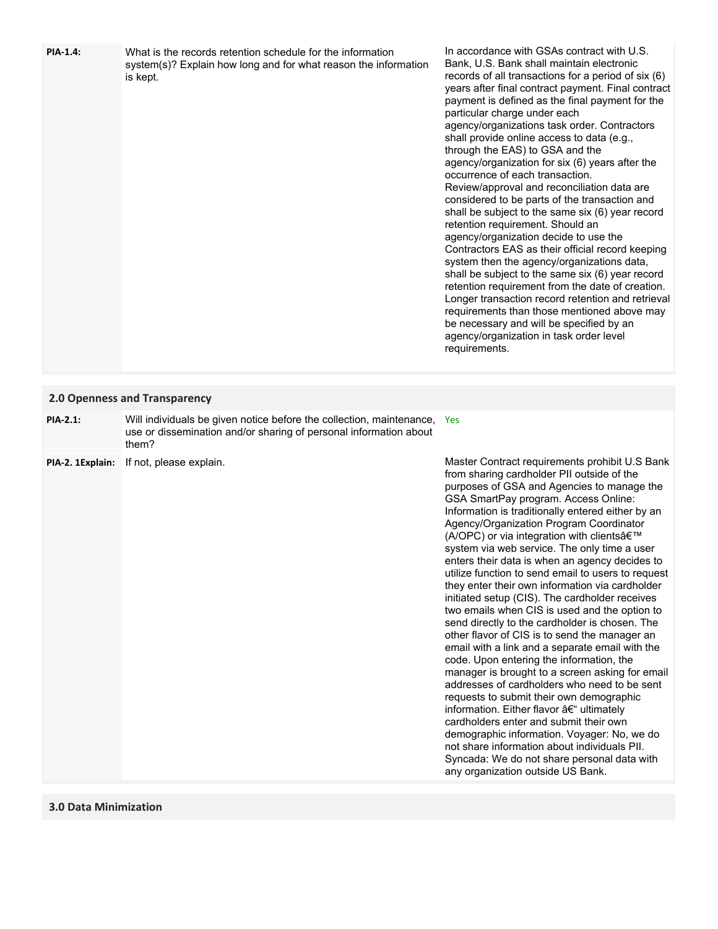| PIA-1.4: | What is the records retention schedule for the information      |
|----------|-----------------------------------------------------------------|
|          | system(s)? Explain how long and for what reason the information |
|          | is kept.                                                        |

In accordance with GSAs contract with U.S. Bank, U.S. Bank shall maintain electronic records of all transactions for a period of six (6) years after final contract payment. Final contract payment is defined as the final payment for the particular charge under each agency/organizations task order. Contractors shall provide online access to data (e.g., through the EAS) to GSA and the agency/organization for six (6) years after the occurrence of each transaction. Review/approval and reconciliation data are considered to be parts of the transaction and shall be subject to the same six (6) year record retention requirement. Should an agency/organization decide to use the Contractors EAS as their official record keeping system then the agency/organizations data, shall be subject to the same six (6) year record retention requirement from the date of creation. Longer transaction record retention and retrieval requirements than those mentioned above may be necessary and will be specified by an agency/organization in task order level requirements.

#### **2.0 Openness and Transparency**

| $PIA-2.1$ : | Will individuals be given notice before the collection, maintenance, Yes |  |
|-------------|--------------------------------------------------------------------------|--|
|             | use or dissemination and/or sharing of personal information about        |  |
|             | them?                                                                    |  |

**PIA-2. 1Explain:** If not, please explain.

Master Contract requirements prohibit U.S Bank from sharing cardholder PII outside of the purposes of GSA and Agencies to manage the GSA SmartPay program. Access Online: Information is traditionally entered either by an Agency/Organization Program Coordinator (A/OPC) or via integration with clients' system via web service. The only time a user enters their data is when an agency decides to utilize function to send email to users to request they enter their own information via cardholder initiated setup (CIS). The cardholder receives two emails when CIS is used and the option to send directly to the cardholder is chosen. The other flavor of CIS is to send the manager an email with a link and a separate email with the code. Upon entering the information, the manager is brought to a screen asking for email addresses of cardholders who need to be sent requests to submit their own demographic information. Either flavor – ultimately cardholders enter and submit their own demographic information. Voyager: No, we do not share information about individuals PII. Syncada: We do not share personal data with any organization outside US Bank.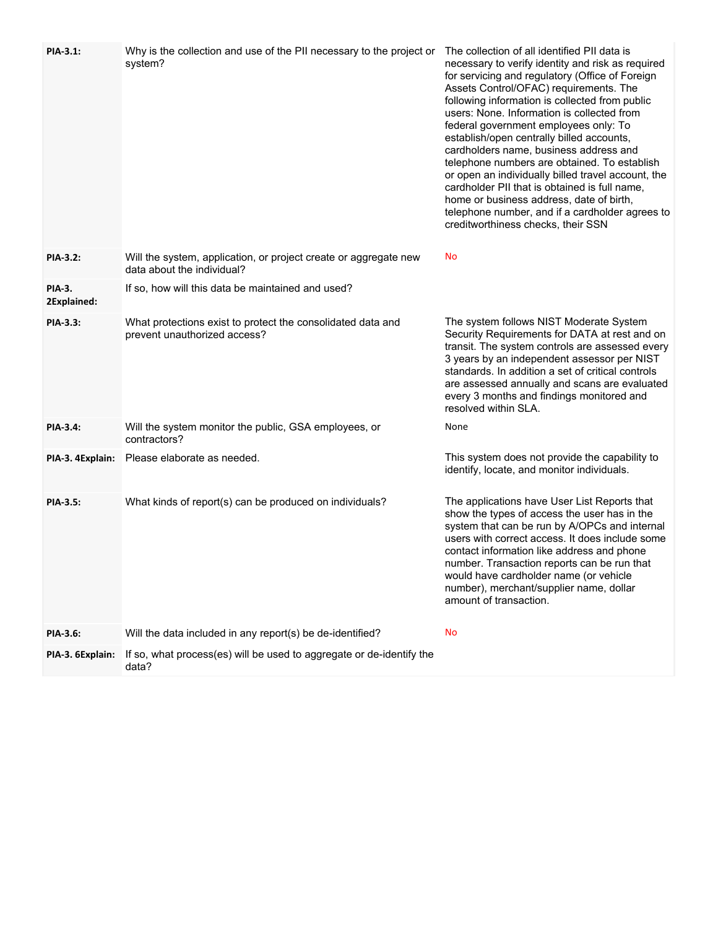| PIA-3.1:              | Why is the collection and use of the PII necessary to the project or<br>system?                | The collection of all identified PII data is<br>necessary to verify identity and risk as required<br>for servicing and regulatory (Office of Foreign<br>Assets Control/OFAC) requirements. The<br>following information is collected from public<br>users: None. Information is collected from<br>federal government employees only: To<br>establish/open centrally billed accounts,<br>cardholders name, business address and<br>telephone numbers are obtained. To establish<br>or open an individually billed travel account, the<br>cardholder PII that is obtained is full name,<br>home or business address, date of birth,<br>telephone number, and if a cardholder agrees to<br>creditworthiness checks, their SSN |
|-----------------------|------------------------------------------------------------------------------------------------|----------------------------------------------------------------------------------------------------------------------------------------------------------------------------------------------------------------------------------------------------------------------------------------------------------------------------------------------------------------------------------------------------------------------------------------------------------------------------------------------------------------------------------------------------------------------------------------------------------------------------------------------------------------------------------------------------------------------------|
| <b>PIA-3.2:</b>       | Will the system, application, or project create or aggregate new<br>data about the individual? | No                                                                                                                                                                                                                                                                                                                                                                                                                                                                                                                                                                                                                                                                                                                         |
| PIA-3.<br>2Explained: | If so, how will this data be maintained and used?                                              |                                                                                                                                                                                                                                                                                                                                                                                                                                                                                                                                                                                                                                                                                                                            |
| <b>PIA-3.3:</b>       | What protections exist to protect the consolidated data and<br>prevent unauthorized access?    | The system follows NIST Moderate System<br>Security Requirements for DATA at rest and on<br>transit. The system controls are assessed every<br>3 years by an independent assessor per NIST<br>standards. In addition a set of critical controls<br>are assessed annually and scans are evaluated<br>every 3 months and findings monitored and<br>resolved within SLA.                                                                                                                                                                                                                                                                                                                                                      |
| PIA-3.4:              | Will the system monitor the public, GSA employees, or<br>contractors?                          | None                                                                                                                                                                                                                                                                                                                                                                                                                                                                                                                                                                                                                                                                                                                       |
| PIA-3. 4Explain:      | Please elaborate as needed.                                                                    | This system does not provide the capability to<br>identify, locate, and monitor individuals.                                                                                                                                                                                                                                                                                                                                                                                                                                                                                                                                                                                                                               |
| PIA-3.5:              | What kinds of report(s) can be produced on individuals?                                        | The applications have User List Reports that<br>show the types of access the user has in the<br>system that can be run by A/OPCs and internal<br>users with correct access. It does include some<br>contact information like address and phone<br>number. Transaction reports can be run that<br>would have cardholder name (or vehicle<br>number), merchant/supplier name, dollar<br>amount of transaction.                                                                                                                                                                                                                                                                                                               |
| PIA-3.6:              | Will the data included in any report(s) be de-identified?                                      | No                                                                                                                                                                                                                                                                                                                                                                                                                                                                                                                                                                                                                                                                                                                         |
| PIA-3. 6Explain:      | If so, what process(es) will be used to aggregate or de-identify the<br>data?                  |                                                                                                                                                                                                                                                                                                                                                                                                                                                                                                                                                                                                                                                                                                                            |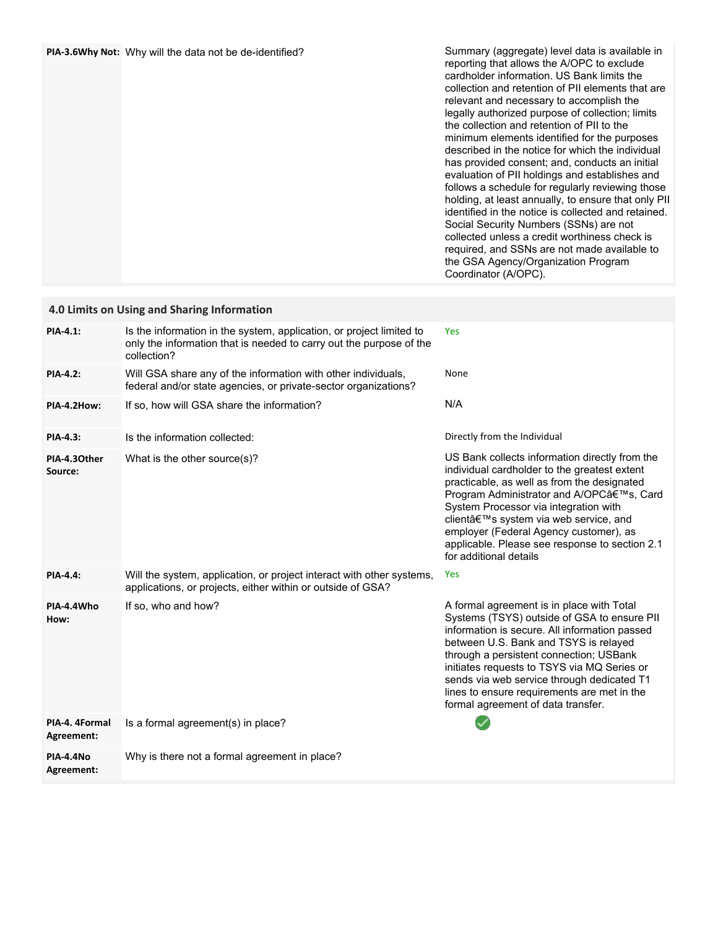|  | PIA-3.6Why Not: Why will the data not be de-identified? | Summary (aggregate) level data is available in<br>reporting that allows the A/OPC to exclude<br>cardholder information. US Bank limits the<br>collection and retention of PII elements that are<br>relevant and necessary to accomplish the<br>legally authorized purpose of collection; limits<br>the collection and retention of PII to the<br>minimum elements identified for the purposes<br>described in the notice for which the individual<br>has provided consent; and, conducts an initial<br>evaluation of PII holdings and establishes and<br>follows a schedule for regularly reviewing those<br>holding, at least annually, to ensure that only PII<br>identified in the notice is collected and retained.<br>Social Security Numbers (SSNs) are not<br>collected unless a credit worthiness check is<br>required, and SSNs are not made available to<br>the GSA Agency/Organization Program<br>Coordinator (A/OPC). |
|--|---------------------------------------------------------|-----------------------------------------------------------------------------------------------------------------------------------------------------------------------------------------------------------------------------------------------------------------------------------------------------------------------------------------------------------------------------------------------------------------------------------------------------------------------------------------------------------------------------------------------------------------------------------------------------------------------------------------------------------------------------------------------------------------------------------------------------------------------------------------------------------------------------------------------------------------------------------------------------------------------------------|
|--|---------------------------------------------------------|-----------------------------------------------------------------------------------------------------------------------------------------------------------------------------------------------------------------------------------------------------------------------------------------------------------------------------------------------------------------------------------------------------------------------------------------------------------------------------------------------------------------------------------------------------------------------------------------------------------------------------------------------------------------------------------------------------------------------------------------------------------------------------------------------------------------------------------------------------------------------------------------------------------------------------------|

| 4.0 Limits on Using and Sharing Information |                                                                                                                                                            |                                                                                                                                                                                                                                                                                                                                                                                                                 |  |
|---------------------------------------------|------------------------------------------------------------------------------------------------------------------------------------------------------------|-----------------------------------------------------------------------------------------------------------------------------------------------------------------------------------------------------------------------------------------------------------------------------------------------------------------------------------------------------------------------------------------------------------------|--|
| PIA-4.1:                                    | Is the information in the system, application, or project limited to<br>only the information that is needed to carry out the purpose of the<br>collection? | <b>Yes</b>                                                                                                                                                                                                                                                                                                                                                                                                      |  |
| <b>PIA-4.2:</b>                             | Will GSA share any of the information with other individuals,<br>federal and/or state agencies, or private-sector organizations?                           | None                                                                                                                                                                                                                                                                                                                                                                                                            |  |
| PIA-4.2How:                                 | If so, how will GSA share the information?                                                                                                                 | N/A                                                                                                                                                                                                                                                                                                                                                                                                             |  |
| <b>PIA-4.3:</b>                             | Is the information collected:                                                                                                                              | Directly from the Individual                                                                                                                                                                                                                                                                                                                                                                                    |  |
| PIA-4.30ther<br>Source:                     | What is the other source(s)?                                                                                                                               | US Bank collects information directly from the<br>individual cardholder to the greatest extent<br>practicable, as well as from the designated<br>Program Administrator and A/OPC's, Card<br>System Processor via integration with<br>client's system via web service, and<br>employer (Federal Agency customer), as<br>applicable. Please see response to section 2.1<br>for additional details                 |  |
| <b>PIA-4.4:</b>                             | Will the system, application, or project interact with other systems,<br>applications, or projects, either within or outside of GSA?                       | Yes                                                                                                                                                                                                                                                                                                                                                                                                             |  |
| PIA-4.4Who<br>How:                          | If so, who and how?                                                                                                                                        | A formal agreement is in place with Total<br>Systems (TSYS) outside of GSA to ensure PII<br>information is secure. All information passed<br>between U.S. Bank and TSYS is relayed<br>through a persistent connection; USBank<br>initiates requests to TSYS via MQ Series or<br>sends via web service through dedicated T1<br>lines to ensure requirements are met in the<br>formal agreement of data transfer. |  |
| PIA-4. 4Formal<br>Agreement:                | Is a formal agreement(s) in place?                                                                                                                         |                                                                                                                                                                                                                                                                                                                                                                                                                 |  |
| PIA-4.4No<br>Agreement:                     | Why is there not a formal agreement in place?                                                                                                              |                                                                                                                                                                                                                                                                                                                                                                                                                 |  |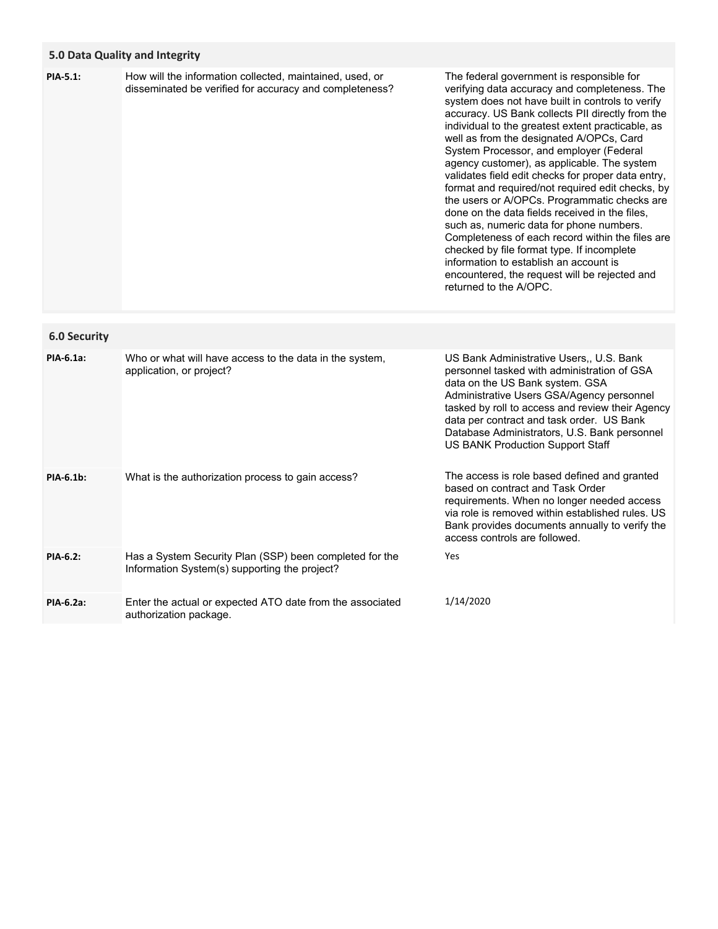# **5.0 Data Quality and Integrity**

| <b>PIA-5.1:</b>     | How will the information collected, maintained, used, or<br>disseminated be verified for accuracy and completeness? | The federal government is responsible for<br>verifying data accuracy and completeness. The<br>system does not have built in controls to verify<br>accuracy. US Bank collects PII directly from the<br>individual to the greatest extent practicable, as<br>well as from the designated A/OPCs, Card<br>System Processor, and employer (Federal<br>agency customer), as applicable. The system<br>validates field edit checks for proper data entry,<br>format and required/not required edit checks, by<br>the users or A/OPCs. Programmatic checks are<br>done on the data fields received in the files,<br>such as, numeric data for phone numbers.<br>Completeness of each record within the files are<br>checked by file format type. If incomplete<br>information to establish an account is<br>encountered, the request will be rejected and<br>returned to the A/OPC. |
|---------------------|---------------------------------------------------------------------------------------------------------------------|------------------------------------------------------------------------------------------------------------------------------------------------------------------------------------------------------------------------------------------------------------------------------------------------------------------------------------------------------------------------------------------------------------------------------------------------------------------------------------------------------------------------------------------------------------------------------------------------------------------------------------------------------------------------------------------------------------------------------------------------------------------------------------------------------------------------------------------------------------------------------|
| <b>6.0 Security</b> |                                                                                                                     |                                                                                                                                                                                                                                                                                                                                                                                                                                                                                                                                                                                                                                                                                                                                                                                                                                                                              |
| PIA-6.1a:           | Who or what will have access to the data in the system,<br>application, or project?                                 | US Bank Administrative Users,, U.S. Bank<br>personnel tasked with administration of GSA<br>data on the US Bank system. GSA<br>Administrative Users GSA/Agency personnel<br>tasked by roll to access and review their Agency<br>data per contract and task order. US Bank<br>Database Administrators, U.S. Bank personnel<br>US BANK Production Support Staff                                                                                                                                                                                                                                                                                                                                                                                                                                                                                                                 |
| PIA-6.1b:           | What is the authorization process to gain access?                                                                   | The access is role based defined and granted<br>based on contract and Task Order<br>requirements. When no longer needed access<br>via role is removed within established rules. US<br>Bank provides documents annually to verify the<br>access controls are followed.                                                                                                                                                                                                                                                                                                                                                                                                                                                                                                                                                                                                        |
| PIA-6.2:            | Has a System Security Plan (SSP) been completed for the<br>Information System(s) supporting the project?            | Yes                                                                                                                                                                                                                                                                                                                                                                                                                                                                                                                                                                                                                                                                                                                                                                                                                                                                          |
| PIA-6.2a:           | Enter the actual or expected ATO date from the associated<br>authorization package.                                 | 1/14/2020                                                                                                                                                                                                                                                                                                                                                                                                                                                                                                                                                                                                                                                                                                                                                                                                                                                                    |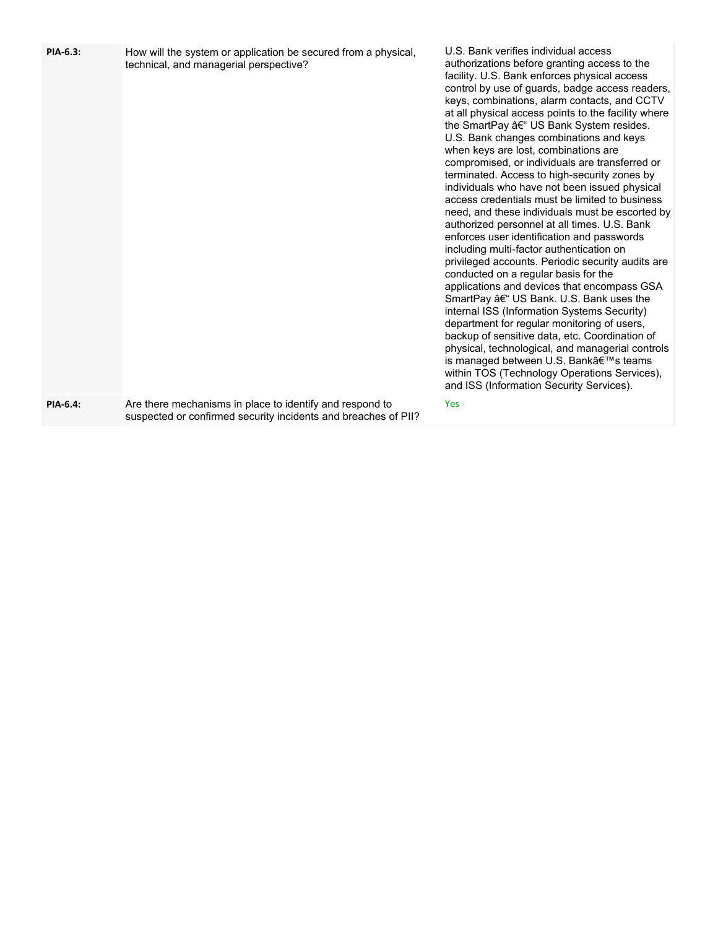| PIA-6.3: | How will the system or application be secured from a physical,<br>technical, and managerial perspective?                   | U.S. Bank verifies individual access<br>authorizations before granting access to the<br>facility. U.S. Bank enforces physical access<br>control by use of guards, badge access readers,<br>keys, combinations, alarm contacts, and CCTV<br>at all physical access points to the facility where<br>the SmartPay – US Bank System resides.<br>U.S. Bank changes combinations and keys<br>when keys are lost, combinations are<br>compromised, or individuals are transferred or<br>terminated. Access to high-security zones by<br>individuals who have not been issued physical<br>access credentials must be limited to business<br>need, and these individuals must be escorted by<br>authorized personnel at all times. U.S. Bank<br>enforces user identification and passwords<br>including multi-factor authentication on<br>privileged accounts. Periodic security audits are<br>conducted on a regular basis for the<br>applications and devices that encompass GSA<br>SmartPay – US Bank. U.S. Bank uses the<br>internal ISS (Information Systems Security)<br>department for regular monitoring of users,<br>backup of sensitive data, etc. Coordination of<br>physical, technological, and managerial controls<br>is managed between U.S. Bank's teams<br>within TOS (Technology Operations Services),<br>and ISS (Information Security Services). |
|----------|----------------------------------------------------------------------------------------------------------------------------|-------------------------------------------------------------------------------------------------------------------------------------------------------------------------------------------------------------------------------------------------------------------------------------------------------------------------------------------------------------------------------------------------------------------------------------------------------------------------------------------------------------------------------------------------------------------------------------------------------------------------------------------------------------------------------------------------------------------------------------------------------------------------------------------------------------------------------------------------------------------------------------------------------------------------------------------------------------------------------------------------------------------------------------------------------------------------------------------------------------------------------------------------------------------------------------------------------------------------------------------------------------------------------------------------------------------------------------------------------------|
| PIA-6.4: | Are there mechanisms in place to identify and respond to<br>suspected or confirmed security incidents and breaches of PII? | Yes                                                                                                                                                                                                                                                                                                                                                                                                                                                                                                                                                                                                                                                                                                                                                                                                                                                                                                                                                                                                                                                                                                                                                                                                                                                                                                                                                         |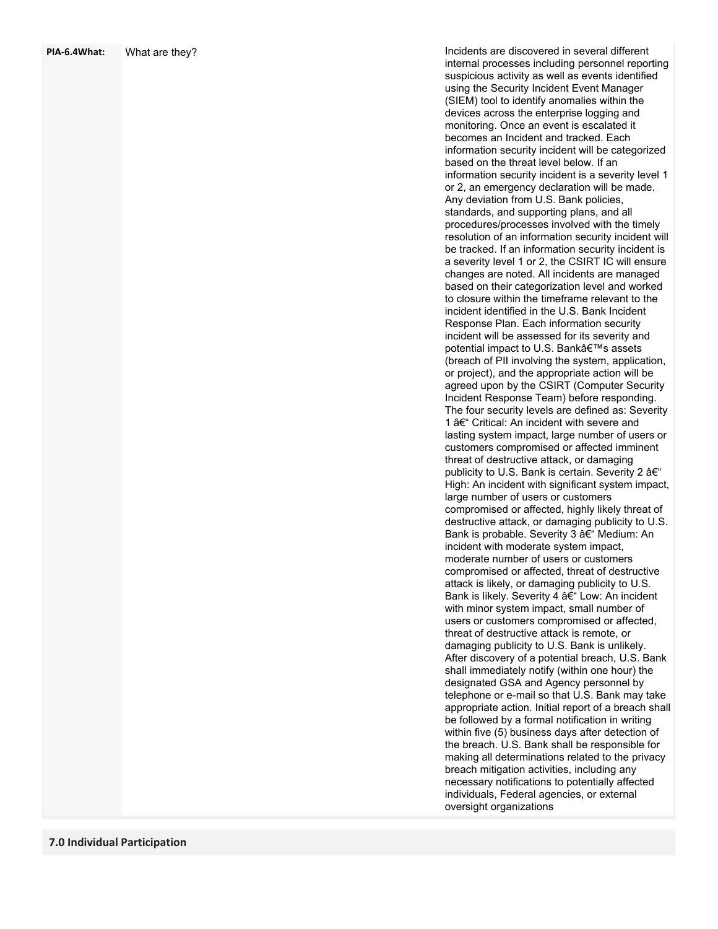| PIA-6.4What: | What are they? |  |
|--------------|----------------|--|
|--------------|----------------|--|

Incidents are discovered in several different internal processes including personnel reporting suspicious activity as well as events identified using the Security Incident Event Manager (SIEM) tool to identify anomalies within the devices across the enterprise logging and monitoring. Once an event is escalated it becomes an Incident and tracked. Each information security incident will be categorized based on the threat level below. If an information security incident is a severity level 1 or 2, an emergency declaration will be made. Any deviation from U.S. Bank policies, standards, and supporting plans, and all procedures/processes involved with the timely resolution of an information security incident will be tracked. If an information security incident is a severity level 1 or 2, the CSIRT IC will ensure changes are noted. All incidents are managed based on their categorization level and worked to closure within the timeframe relevant to the incident identified in the U.S. Bank Incident Response Plan. Each information security incident will be assessed for its severity and potential impact to U.S. Bank's assets (breach of PII involving the system, application, or project), and the appropriate action will be agreed upon by the CSIRT (Computer Security Incident Response Team) before responding. The four security levels are defined as: Severity 1 – Critical: An incident with severe and lasting system impact, large number of users or customers compromised or affected imminent threat of destructive attack, or damaging publicity to U.S. Bank is certain. Severity 2 â $\bm{\epsilon}$ " High: An incident with significant system impact, large number of users or customers compromised or affected, highly likely threat of destructive attack, or damaging publicity to U.S. Bank is probable. Severity 3 – Medium: An incident with moderate system impact, moderate number of users or customers compromised or affected, threat of destructive attack is likely, or damaging publicity to U.S. Bank is likely. Severity 4 – Low: An incident with minor system impact, small number of users or customers compromised or affected, threat of destructive attack is remote, or damaging publicity to U.S. Bank is unlikely. After discovery of a potential breach, U.S. Bank shall immediately notify (within one hour) the designated GSA and Agency personnel by telephone or e -mail so that U.S. Bank may take appropriate action. Initial report of a breach shall be followed by a formal notification in writing within five (5) business days after detection of the breach. U.S. Bank shall be responsible for making all determinations related to the privacy breach mitigation activities, including any necessary notifications to potentially affected individuals, Federal agencies, or external oversight organizations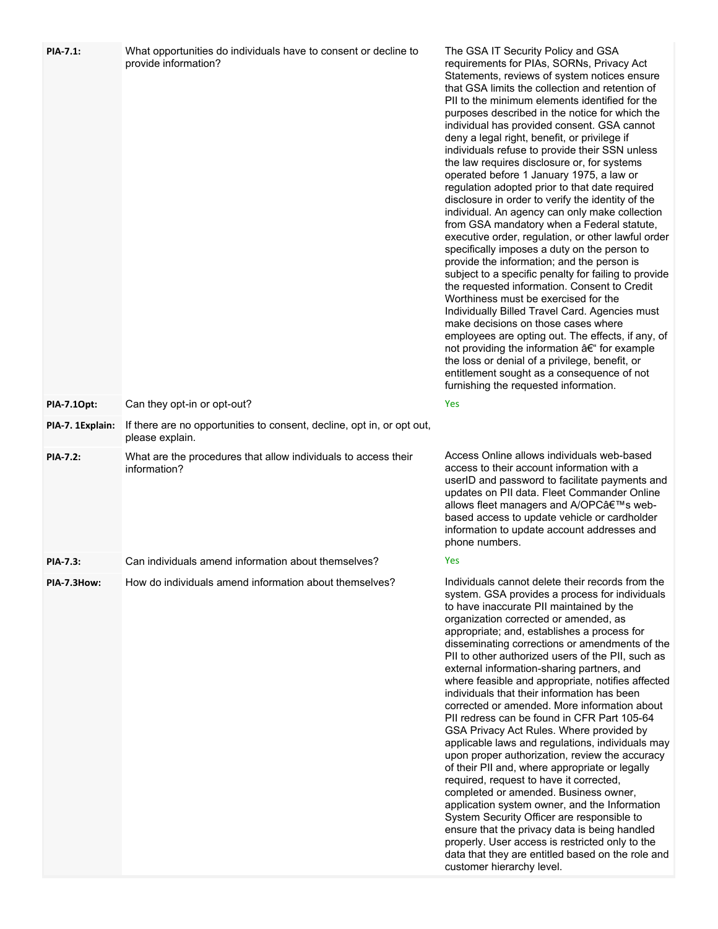| <b>PIA-7.1:</b>  | What opportunities do individuals have to consent or decline to<br>provide information?   | The GSA IT Security Policy and GSA<br>requirements for PIAs, SORNs, Privacy Act<br>Statements, reviews of system notices ensure<br>that GSA limits the collection and retention of<br>PII to the minimum elements identified for the<br>purposes described in the notice for which the<br>individual has provided consent. GSA cannot<br>deny a legal right, benefit, or privilege if<br>individuals refuse to provide their SSN unless<br>the law requires disclosure or, for systems<br>operated before 1 January 1975, a law or<br>regulation adopted prior to that date required<br>disclosure in order to verify the identity of the<br>individual. An agency can only make collection<br>from GSA mandatory when a Federal statute,<br>executive order, regulation, or other lawful order<br>specifically imposes a duty on the person to<br>provide the information; and the person is<br>subject to a specific penalty for failing to provide<br>the requested information. Consent to Credit<br>Worthiness must be exercised for the<br>Individually Billed Travel Card. Agencies must<br>make decisions on those cases where<br>employees are opting out. The effects, if any, of<br>not providing the information – for example<br>the loss or denial of a privilege, benefit, or<br>entitlement sought as a consequence of not<br>furnishing the requested information. |
|------------------|-------------------------------------------------------------------------------------------|-------------------------------------------------------------------------------------------------------------------------------------------------------------------------------------------------------------------------------------------------------------------------------------------------------------------------------------------------------------------------------------------------------------------------------------------------------------------------------------------------------------------------------------------------------------------------------------------------------------------------------------------------------------------------------------------------------------------------------------------------------------------------------------------------------------------------------------------------------------------------------------------------------------------------------------------------------------------------------------------------------------------------------------------------------------------------------------------------------------------------------------------------------------------------------------------------------------------------------------------------------------------------------------------------------------------------------------------------------------------------------------|
| PIA-7.10pt:      | Can they opt-in or opt-out?                                                               | Yes                                                                                                                                                                                                                                                                                                                                                                                                                                                                                                                                                                                                                                                                                                                                                                                                                                                                                                                                                                                                                                                                                                                                                                                                                                                                                                                                                                                 |
| PIA-7. 1Explain: | If there are no opportunities to consent, decline, opt in, or opt out,<br>please explain. |                                                                                                                                                                                                                                                                                                                                                                                                                                                                                                                                                                                                                                                                                                                                                                                                                                                                                                                                                                                                                                                                                                                                                                                                                                                                                                                                                                                     |
| <b>PIA-7.2:</b>  | What are the procedures that allow individuals to access their<br>information?            | Access Online allows individuals web-based<br>access to their account information with a<br>userID and password to facilitate payments and<br>updates on PII data. Fleet Commander Online<br>allows fleet managers and A/OPC's web-<br>based access to update vehicle or cardholder<br>information to update account addresses and<br>phone numbers.                                                                                                                                                                                                                                                                                                                                                                                                                                                                                                                                                                                                                                                                                                                                                                                                                                                                                                                                                                                                                                |
| <b>PIA-7.3:</b>  | Can individuals amend information about themselves?                                       | Yes                                                                                                                                                                                                                                                                                                                                                                                                                                                                                                                                                                                                                                                                                                                                                                                                                                                                                                                                                                                                                                                                                                                                                                                                                                                                                                                                                                                 |
| PIA-7.3How:      | How do individuals amend information about themselves?                                    | Individuals cannot delete their records from the<br>system. GSA provides a process for individuals<br>to have inaccurate PII maintained by the<br>organization corrected or amended, as<br>appropriate; and, establishes a process for<br>disseminating corrections or amendments of the<br>PII to other authorized users of the PII, such as<br>external information-sharing partners, and<br>where feasible and appropriate, notifies affected<br>individuals that their information has been<br>corrected or amended. More information about<br>PII redress can be found in CFR Part 105-64<br>GSA Privacy Act Rules. Where provided by<br>applicable laws and regulations, individuals may<br>upon proper authorization, review the accuracy<br>of their PII and, where appropriate or legally<br>required, request to have it corrected,<br>completed or amended. Business owner,<br>application system owner, and the Information<br>System Security Officer are responsible to<br>ensure that the privacy data is being handled<br>properly. User access is restricted only to the<br>data that they are entitled based on the role and<br>customer hierarchy level.                                                                                                                                                                                                         |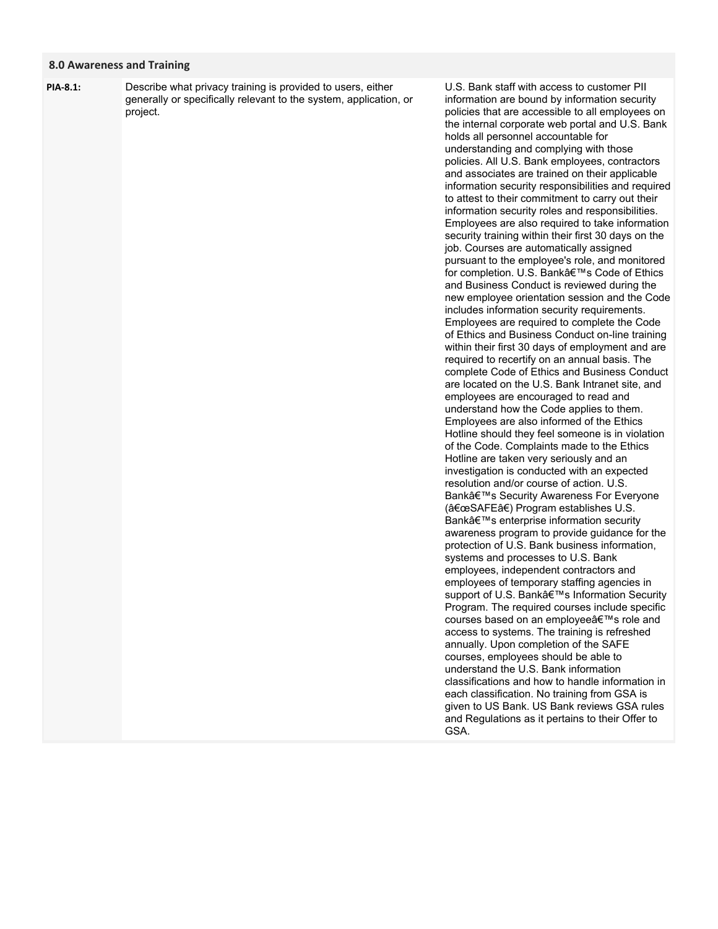### **8.0 Awareness and Training**

Describe what privacy training is provided to users, either generally or specifically relevant to the system, application, or project. **PIA-8.1:**

U.S. Bank staff with access to customer PII information are bound by information security policies that are accessible to all employees on the internal corporate web portal and U.S. Bank holds all personnel accountable for understanding and complying with those policies. All U.S. Bank employees, contractors and associates are trained on their applicable information security responsibilities and required to attest to their commitment to carry out their information security roles and responsibilities. Employees are also required to take information security training within their first 30 days on the job. Courses are automatically assigned pursuant to the employee's role, and monitored for completion. U.S. Bank's Code of Ethics and Business Conduct is reviewed during the new employee orientation session and the Code includes information security requirements. Employees are required to complete the Code of Ethics and Business Conduct on-line training within their first 30 days of employment and are required to recertify on an annual basis. The complete Code of Ethics and Business Conduct are located on the U.S. Bank Intranet site, and employees are encouraged to read and understand how the Code applies to them. Employees are also informed of the Ethics Hotline should they feel someone is in violation of the Code. Complaints made to the Ethics Hotline are taken very seriously and an investigation is conducted with an expected resolution and/or course of action. U.S. Bank's Security Awareness For Everyone ("SAFEâ€) Program establishes U.S. Bank's enterprise information security awareness program to provide guidance for the protection of U.S. Bank business information, systems and processes to U.S. Bank employees, independent contractors and employees of temporary staffing agencies in support of U.S. Bank's Information Security Program. The required courses include specific courses based on an employee's role and access to systems. The training is refreshed annually. Upon completion of the SAFE courses, employees should be able to understand the U.S. Bank information classifications and how to handle information in each classification. No training from GSA is given to US Bank. US Bank reviews GSA rules and Regulations as it pertains to their Offer to GSA.